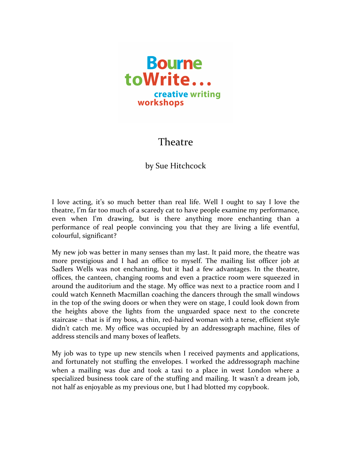

## **Theatre**

## by Sue Hitchcock

I love acting, it's so much better than real life. Well I ought to say I love the theatre, I'm far too much of a scaredy cat to have people examine my performance, even when I'm drawing, but is there anything more enchanting than a performance of real people convincing you that they are living a life eventful, colourful, significant?

My new job was better in many senses than my last. It paid more, the theatre was more prestigious and I had an office to myself. The mailing list officer job at Sadlers Wells was not enchanting, but it had a few advantages. In the theatre, offices, the canteen, changing rooms and even a practice room were squeezed in around the auditorium and the stage. My office was next to a practice room and I could watch Kenneth Macmillan coaching the dancers through the small windows in the top of the swing doors or when they were on stage, I could look down from the heights above the lights from the unguarded space next to the concrete staircase – that is if my boss, a thin, red-haired woman with a terse, efficient style didn't catch me. My office was occupied by an addressograph machine, files of address stencils and many boxes of leaflets.

My job was to type up new stencils when I received payments and applications, and fortunately not stuffing the envelopes. I worked the addressograph machine when a mailing was due and took a taxi to a place in west London where a specialized business took care of the stuffing and mailing. It wasn't a dream job, not half as enjoyable as my previous one, but I had blotted my copybook.